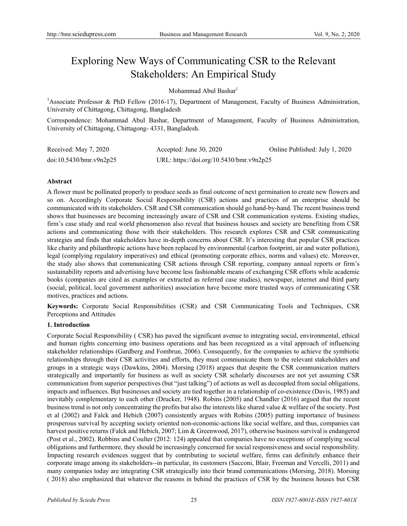# Exploring New Ways of Communicating CSR to the Relevant Stakeholders: An Empirical Study

## Mohammad Abul Bashar<sup>1</sup>

<sup>1</sup>Associate Professor & PhD Fellow (2016-17), Department of Management, Faculty of Business Administration, University of Chittagong, Chittagong, Bangladesh

Correspondence: Mohammad Abul Bashar, Department of Management, Faculty of Business Administration, University of Chittagong, Chittagong- 4331, Bangladesh.

| Received: May 7, 2020   | Accepted: June 30, 2020                  | Online Published: July 1, 2020 |
|-------------------------|------------------------------------------|--------------------------------|
| doi:10.5430/bmr.v9n2p25 | URL: https://doi.org/10.5430/bmr.v9n2p25 |                                |

#### **Abstract**

A flower must be pollinated properly to produce seeds as final outcome of next germination to create new flowers and so on. Accordingly Corporate Social Responsibility (CSR) actions and practices of an enterprise should be communicated with its stakeholders. CSR and CSR communication should go hand-by-hand. The recent business trend shows that businesses are becoming increasingly aware of CSR and CSR communication systems. Existing studies, firm's case study and real world phenomenon also reveal that business houses and society are benefiting from CSR actions and communicating those with their stakeholders. This research explores CSR and CSR communicating strategies and finds that stakeholders have in-depth concerns about CSR. It's interesting that popular CSR practices like charity and philanthropic actions have been replaced by environmental (carbon footprint, air and water pollution), legal (complying regulatory imperatives) and ethical (promoting corporate ethics, norms and values) etc. Moreover, the study also shows that communicating CSR actions through CSR reporting, company annual reports or firm's sustainability reports and advertising have become less fashionable means of exchanging CSR efforts while academic books (companies are cited as examples or extracted as referred case studies), newspaper, internet and third party (social, political, local government authorities) association have become more trusted ways of communicating CSR motives, practices and actions.

**Keywords:** Corporate Social Responsibilities (CSR) and CSR Communicating Tools and Techniques, CSR Perceptions and Attitudes

#### **1. Introduction**

Corporate Social Responsibility ( CSR) has paved the significant avenue to integrating social, environmental, ethical and human rights concerning into business operations and has been recognized as a vital approach of influencing stakeholder relationships (Gardberg and Fombrun, 2006). Consequently, for the companies to achieve the symbiotic relationships through their CSR activities and efforts, they must communicate them to the relevant stakeholders and groups in a strategic ways (Dawkins, 2004). Morsing (2018) argues that despite the CSR communication matters strategically and importantly for business as well as society CSR scholarly discourses are not yet assuming CSR communication from superior perspectives (but "just talking") of actions as well as decoupled from social obligations, impacts and influences. But businesses and society are tied together in a relationship of co-existence (Davis, 1985) and inevitably complementary to each other (Drucker, 1948). Robins (2005) and Chandler (2016) argued that the recent business trend is not only concentrating the profits but also the interests like shared value & welfare of the society. Post et al (2002) and Falck and Hebich (2007) consistently argues with Robins (2005) putting importance of business prosperous survival by accepting society oriented non-economic-actions like social welfare, and thus, companies can harvest positive returns (Falck and Hebich, 2007; Lim & Greenwood, 2017), otherwise business survival is endangered (Post et al., 2002). Robbins and Coulter (2012: 124) appealed that companies have no exceptions of complying social obligations and furthermore, they should be increasingly concerned for social responsiveness and social responsibility. Impacting research evidences suggest that by contributing to societal welfare, firms can definitely enhance their corporate image among its stakeholders--in particular, its customers (Sacconi, Blair, Freeman and Vercelli, 2011) and many companies today are integrating CSR strategically into their brand communications (Morsing, 2018). Morsing ( 2018) also emphasized that whatever the reasons in behind the practices of CSR by the business houses but CSR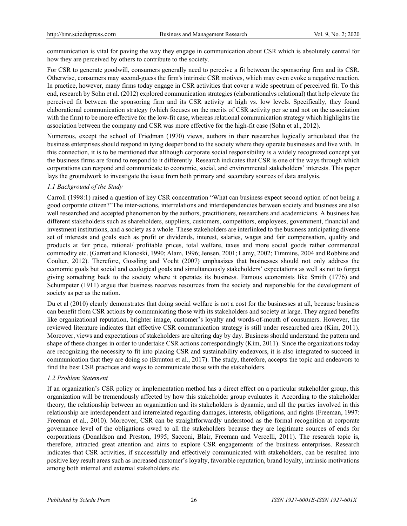communication is vital for paving the way they engage in communication about CSR which is absolutely central for how they are perceived by others to contribute to the society.

For CSR to generate goodwill, consumers generally need to perceive a fit between the sponsoring firm and its CSR. Otherwise, consumers may second-guess the firm's intrinsic CSR motives, which may even evoke a negative reaction. In practice, however, many firms today engage in CSR activities that cover a wide spectrum of perceived fit. To this end, research by Sohn et al. (2012) explored communication strategies (elaborationalvs relational) that help elevate the perceived fit between the sponsoring firm and its CSR activity at high vs. low levels. Specifically, they found elaborational communication strategy (which focuses on the merits of CSR activity per se and not on the association with the firm) to be more effective for the low-fit case, whereas relational communication strategy which highlights the association between the company and CSR was more effective for the high-fit case (Sohn et al., 2012).

Numerous, except the school of Friedman (1970) views, authors in their researches logically articulated that the business enterprises should respond in tying deeper bond to the society where they operate businesses and live with. In this connection, it is to be mentioned that although corporate social responsibility is a widely recognized concept yet the business firms are found to respond to it differently. Research indicates that CSR is one of the ways through which corporations can respond and communicate to economic, social, and environmental stakeholders' interests. This paper lays the groundwork to investigate the issue from both primary and secondary sources of data analysis.

#### *1.1 Background of the Study*

Carroll (1998:1) raised a question of key CSR concentration "What can business expect second option of not being a good corporate citizen?"The inter-actions, interrelations and interdependencies between society and business are also well researched and accepted phenomenon by the authors, practitioners, researchers and academicians. A business has different stakeholders such as shareholders, suppliers, customers, competitors, employees, government, financial and investment institutions, and a society as a whole. These stakeholders are interlinked to the business anticipating diverse set of interests and goals such as profit or dividends, interest, salaries, wages and fair compensation, quality and products at fair price, rational/ profitable prices, total welfare, taxes and more social goods rather commercial commodity etc. (Garrett and Klonoski, 1990; Alam, 1996; Jensen, 2001; Lamy, 2002; Timmins, 2004 and Robbins and Coulter, 2012). Therefore, Gossling and Vocht (2007) emphasizes that businesses should not only address the economic goals but social and ecological goals and simultaneously stakeholders' expectations as well as not to forget giving something back to the society where it operates its business. Famous economists like Smith (1776) and Schumpeter (1911) argue that business receives resources from the society and responsible for the development of society as per as the nation.

Du et al (2010) clearly demonstrates that doing social welfare is not a cost for the businesses at all, because business can benefit from CSR actions by communicating those with its stakeholders and society at large. They argued benefits like organizational reputation, brighter image, customer's loyalty and words-of-mouth of consumers. However, the reviewed literature indicates that effective CSR communication strategy is still under researched area (Kim, 2011). Moreover, views and expectations of stakeholders are altering day by day. Business should understand the pattern and shape of these changes in order to undertake CSR actions correspondingly (Kim, 2011). Since the organizations today are recognizing the necessity to fit into placing CSR and sustainability endeavors, it is also integrated to succeed in communication that they are doing so (Brunton et al., 2017). The study, therefore, accepts the topic and endeavors to find the best CSR practices and ways to communicate those with the stakeholders.

#### *1.2 Problem Statement*

If an organization's CSR policy or implementation method has a direct effect on a particular stakeholder group, this organization will be tremendously affected by how this stakeholder group evaluates it. According to the stakeholder theory, the relationship between an organization and its stakeholders is dynamic, and all the parties involved in this relationship are interdependent and interrelated regarding damages, interests, obligations, and rights (Freeman, 1997: Freeman et al., 2010). Moreover, CSR can be straightforwardly understood as the formal recognition at corporate governance level of the obligations owed to all the stakeholders because they are legitimate sources of ends for corporations (Donaldson and Preston, 1995; Sacconi, Blair, Freeman and Vercelli, 2011). The research topic is, therefore, attracted great attention and aims to explore CSR engagements of the business enterprises. Research indicates that CSR activities, if successfully and effectively communicated with stakeholders, can be resulted into positive key result areas such as increased customer's loyalty, favorable reputation, brand loyalty, intrinsic motivations among both internal and external stakeholders etc.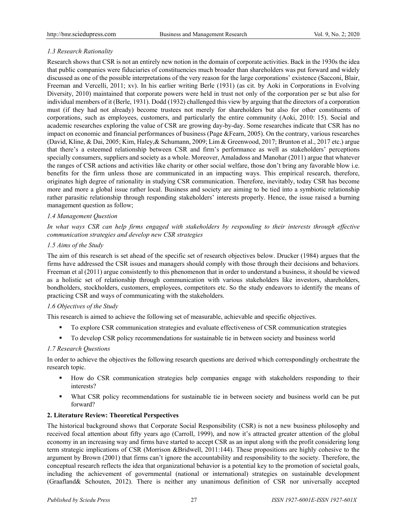# *1.3 Research Rationality*

Research shows that CSR is not an entirely new notion in the domain of corporate activities. Back in the 1930s the idea that public companies were fiduciaries of constituencies much broader than shareholders was put forward and widely discussed as one of the possible interpretations of the very reason for the large corporations' existence (Sacconi, Blair, Freeman and Vercelli, 2011; xv). In his earlier writing Berle (1931) (as cit. by Aoki in Corporations in Evolving Diversity, 2010) maintained that corporate powers were held in trust not only of the corporation per se but also for individual members of it (Berle, 1931). Dodd (1932) challenged this view by arguing that the directors of a corporation must (if they had not already) become trustees not merely for shareholders but also for other constituents of corporations, such as employees, customers, and particularly the entire community (Aoki, 2010: 15). Social and academic researches exploring the value of CSR are growing day-by-day. Some researches indicate that CSR has no impact on economic and financial performances of business (Page &Fearn, 2005). On the contrary, various researches (David, Kline, & Dai, 2005; Kim, Haley,& Schumann, 2009; Lim & Greenwood, 2017; Brunton et al., 2017 etc.) argue that there's a esteemed relationship between CSR and firm's performance as well as stakeholders' perceptions specially consumers, suppliers and society as a whole. Moreover, Amaladoss and Manohar (2011) argue that whatever the ranges of CSR actions and activities like charity or other social welfare, those don't bring any favorable blow i.e. benefits for the firm unless those are communicated in an impacting ways. This empirical research, therefore, originates high degree of rationality in studying CSR communication. Therefore, inevitably, today CSR has become more and more a global issue rather local. Business and society are aiming to be tied into a symbiotic relationship rather parasitic relationship through responding stakeholders' interests properly. Hence, the issue raised a burning management question as follow;

## *1.4 Management Question*

*In what ways CSR can help firms engaged with stakeholders by responding to their interests through effective communication strategies and develop new CSR strategies*

## *1.5 Aims of the Study*

The aim of this research is set ahead of the specific set of research objectives below. Drucker (1984) argues that the firms have addressed the CSR issues and managers should comply with those through their decisions and behaviors. Freeman et al (2011) argue consistently to this phenomenon that in order to understand a business, it should be viewed as a holistic set of relationship through communication with various stakeholders like investors, shareholders, bondholders, stockholders, customers, employees, competitors etc. So the study endeavors to identify the means of practicing CSR and ways of communicating with the stakeholders.

#### *1.6 Objectives of the Study*

This research is aimed to achieve the following set of measurable, achievable and specific objectives.

- To explore CSR communication strategies and evaluate effectiveness of CSR communication strategies
- To develop CSR policy recommendations for sustainable tie in between society and business world

#### *1.7 Research Questions*

In order to achieve the objectives the following research questions are derived which correspondingly orchestrate the research topic.

- How do CSR communication strategies help companies engage with stakeholders responding to their interests?
- What CSR policy recommendations for sustainable tie in between society and business world can be put forward?

# **2. Literature Review: Theoretical Perspectives**

The historical background shows that Corporate Social Responsibility (CSR) is not a new business philosophy and received focal attention about fifty years ago (Carroll, 1999), and now it's attracted greater attention of the global economy in an increasing way and firms have started to accept CSR as an input along with the profit considering long term strategic implications of CSR (Morrison &Bridwell, 2011:144). These propositions are highly cohesive to the argument by Brown (2001) that firms can't ignore the accountability and responsibility to the society. Therefore, the conceptual research reflects the idea that organizational behavior is a potential key to the promotion of societal goals, including the achievement of governmental (national or international) strategies on sustainable development (Graafland& Schouten, 2012). There is neither any unanimous definition of CSR nor universally accepted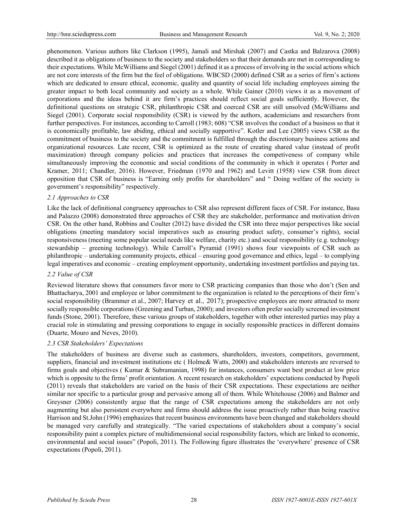phenomenon. Various authors like Clarkson (1995), Jamali and Mirshak (2007) and Castka and Balzarova (2008) described it as obligations of business to the society and stakeholders so that their demands are met in corresponding to their expectations. While McWilliams and Siegel (2001) defined it as a process of involving in the social actions which are not core interests of the firm but the feel of obligations. WBCSD (2000) defined CSR as a series of firm's actions which are dedicated to ensure ethical, economic, quality and quantity of social life including employees aiming the greater impact to both local community and society as a whole. While Gainer (2010) views it as a movement of corporations and the ideas behind it are firm's practices should reflect social goals sufficiently. However, the definitional questions on strategic CSR, philanthropic CSR and coerced CSR are still unsolved (McWilliams and Siegel (2001). Corporate social responsibility (CSR) is viewed by the authors, academicians and researchers from further perspectives. For instances, according to Carroll (1983; 608) "CSR involves the conduct of a business so that it is economically profitable, law abiding, ethical and socially supportive". Kotler and Lee (2005) views CSR as the commitment of business to the society and the commitment is fulfilled through the discretionary business actions and organizational resources. Late recent, CSR is optimized as the route of creating shared value (instead of profit maximization) through company policies and practices that increases the competiveness of company while simultaneously improving the economic and social conditions of the community in which it operates ( Porter and Kramer, 2011; Chandler, 2016). However, Friedman (1970 and 1962) and Levitt (1958) view CSR from direct opposition that CSR of business is "Earning only profits for shareholders" and " Doing welfare of the society is government's responsibility" respectively.

#### *2.1 Approaches to CSR*

Like the lack of definitional congruency approaches to CSR also represent different faces of CSR. For instance, Basu and Palazzo (2008) demonstrated three approaches of CSR they are stakeholder, performance and motivation driven CSR. On the other hand, Robbins and Coulter (2012) have divided the CSR into three major perspectives like social obligations (meeting mandatory social imperatives such as ensuring product safety, consumer's rights), social responsiveness (meeting some popular social needs like welfare, charity etc.) and social responsibility (e.g. technology stewardship – greening technology). While Carroll's Pyramid (1991) shows four viewpoints of CSR such as philanthropic – undertaking community projects, ethical – ensuring good governance and ethics, legal – to complying legal imperatives and economic – creating employment opportunity, undertaking investment portfolios and paying tax.

#### *2.2 Value of CSR*

Reviewed literature shows that consumers favor more to CSR practicing companies than those who don't (Sen and Bhattacharya, 2001 and employee or labor commitment to the organization is related to the perceptions of their firm's social responsibility (Brammer et al., 2007; Harvey et al., 2017); prospective employees are more attracted to more socially responsible corporations (Greening and Turban, 2000); and investors often prefer socially screened investment funds (Stone, 2001). Therefore, these various groups of stakeholders, together with other interested parties may play a crucial role in stimulating and pressing corporations to engage in socially responsible practices in different domains (Duarte, Mouro and Neves, 2010).

#### *2.3 CSR Stakeholders' Expectations*

The stakeholders of business are diverse such as customers, shareholders, investors, competitors, government, suppliers, financial and investment institutions etc ( Holme& Watts, 2000) and stakeholders interests are reversed to firms goals and objectives ( Kumar & Subramanian, 1998) for instances, consumers want best product at low price which is opposite to the firms' profit orientation. A recent research on stakeholders' expectations conducted by Popoli (2011) reveals that stakeholders are varied on the basis of their CSR expectations. These expectations are neither similar nor specific to a particular group and pervasive among all of them. While Whitehouse (2006) and Balmer and Greysner (2006) consistently argue that the range of CSR expectations among the stakeholders are not only augmenting but also persistent everywhere and firms should address the issue proactively rather than being reactive Harrison and St.John (1996) emphasizes that recent business environments have been changed and stakeholders should be managed very carefully and strategically. "The varied expectations of stakeholders about a company's social responsibility paint a complex picture of multidimensional social responsibility factors, which are linked to economic, environmental and social issues" (Popoli, 2011). The Following figure illustrates the 'everywhere' presence of CSR expectations (Popoli, 2011).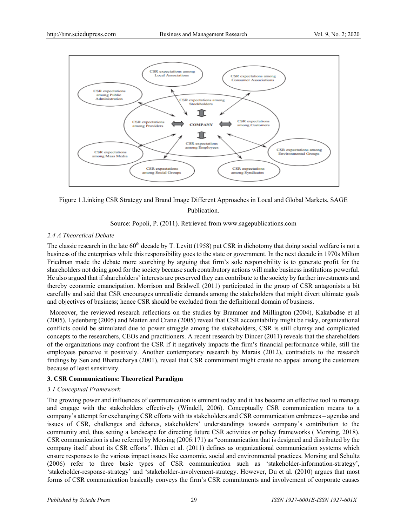

Figure 1.Linking CSR Strategy and Brand Image Different Approaches in Local and Global Markets, SAGE Publication.



#### *2.4 A Theoretical Debate*

The classic research in the late  $60<sup>th</sup>$  decade by T. Levitt (1958) put CSR in dichotomy that doing social welfare is not a business of the enterprises while this responsibility goes to the state or government. In the next decade in 1970s Milton Friedman made the debate more scorching by arguing that firm's sole responsibility is to generate profit for the shareholders not doing good for the society because such contributory actions will make business institutions powerful. He also argued that if shareholders' interests are preserved they can contribute to the society by further investments and thereby economic emancipation. Morrison and Bridwell (2011) participated in the group of CSR antagonists a bit carefully and said that CSR encourages unrealistic demands among the stakeholders that might divert ultimate goals and objectives of business; hence CSR should be excluded from the definitional domain of business.

Moreover, the reviewed research reflections on the studies by Brammer and Millington (2004), Kakabadse et al (2005), Lydenberg (2005) and Matten and Crane (2005) reveal that CSR accountability might be risky, organizational conflicts could be stimulated due to power struggle among the stakeholders, CSR is still clumsy and complicated concepts to the researchers, CEOs and practitioners. A recent research by Dincer (2011) reveals that the shareholders of the organizations may confront the CSR if it negatively impacts the firm's financial performance while, still the employees perceive it positively. Another contemporary research by Marais (2012), contradicts to the research findings by Sen and Bhattacharya (2001), reveal that CSR commitment might create no appeal among the customers because of least sensitivity.

#### **3. CSR Communications: Theoretical Paradigm**

#### *3.1 Conceptual Framework*

The growing power and influences of communication is eminent today and it has become an effective tool to manage and engage with the stakeholders effectively (Windell, 2006). Conceptually CSR communication means to a company's attempt for exchanging CSR efforts with its stakeholders and CSR communication embraces – agendas and issues of CSR, challenges and debates, stakeholders' understandings towards company's contribution to the community and, thus setting a landscape for directing future CSR activities or policy frameworks ( Morsing, 2018). CSR communication is also referred by Morsing (2006:171) as "communication that is designed and distributed by the company itself about its CSR efforts". Ihlen et al. (2011) defines as organizational communication systems which ensure responses to the various impact issues like economic, social and environmental practices. Morsing and Schultz (2006) refer to three basic types of CSR communication such as 'stakeholder-information-strategy', 'stakeholder-response-strategy' and 'stakeholder-involvement-strategy. However, Du et al. (2010) argues that most forms of CSR communication basically conveys the firm's CSR commitments and involvement of corporate causes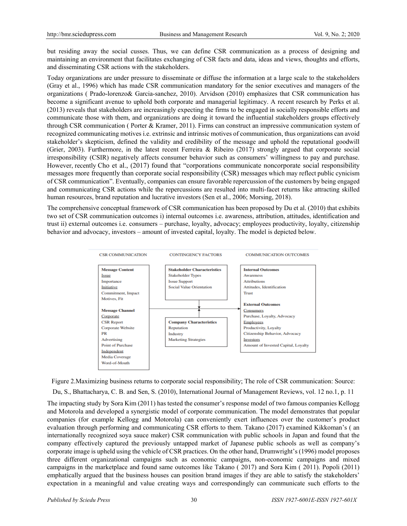but residing away the social cusses. Thus, we can define CSR communication as a process of designing and maintaining an environment that facilitates exchanging of CSR facts and data, ideas and views, thoughts and efforts, and disseminating CSR actions with the stakeholders.

Today organizations are under pressure to disseminate or diffuse the information at a large scale to the stakeholders (Gray et al., 1996) which has made CSR communication mandatory for the senior executives and managers of the organizations ( Prado-lorenzo& Garcia-sanchez, 2010). Arvidson (2010) emphasizes that CSR communication has become a significant avenue to uphold both corporate and managerial legitimacy. A recent research by Perks et al. (2013) reveals that stakeholders are increasingly expecting the firms to be engaged in socially responsible efforts and communicate those with them, and organizations are doing it toward the influential stakeholders groups effectively through CSR communication ( Porter & Kramer, 2011). Firms can construct an impressive communication system of recognized communicating motives i.e. extrinsic and intrinsic motives of communication, thus organizations can avoid stakeholder's skepticism, defined the validity and credibility of the message and uphold the reputational goodwill (Grier, 2003). Furthermore, in the latest recent Ferreira & Ribeiro (2017) strongly argued that corporate social irresponsibility (CSIR) negatively affects consumer behavior such as consumers' willingness to pay and purchase. However, recently Cho et al., (2017) found that "corporations communicate noncorporate social responsibility messages more frequently than corporate social responsibility (CSR) messages which may reflect public cynicism of CSR communication". Eventually, companies can ensure favorable repercussion of the customers by being engaged and communicating CSR actions while the repercussions are resulted into multi-facet returns like attracting skilled human resources, brand reputation and lucrative investors (Sen et al., 2006; Morsing, 2018).

The comprehensive conceptual framework of CSR communication has been proposed by Du et al. (2010) that exhibits two set of CSR communication outcomes i) internal outcomes i.e. awareness, attribution, attitudes, identification and trust ii) external outcomes i.e. consumers – purchase, loyalty, advocacy; employees productivity, loyalty, citizenship behavior and advocacy, investors – amount of invested capital, loyalty. The model is depicted below.



Figure 2.Maximizing business returns to corporate social responsibility; The role of CSR communication: Source: Du, S., Bhattacharya, C. B. and Sen, S. (2010), International Journal of Management Reviews, vol. 12 no.1, p. 11

The impacting study by Sora Kim (2011) has tested the consumer's response model of two famous companies Kellogg and Motorola and developed a synergistic model of corporate communication. The model demonstrates that popular companies (for example Kellogg and Motorola) can conveniently exert influences over the customer's product evaluation through performing and communicating CSR efforts to them. Takano (2017) examined Kikkoman's ( an internationally recognized soya sauce maker) CSR communication with public schools in Japan and found that the company effectively captured the previously untapped market of Japanese public schools as well as company's corporate image is upheld using the vehicle of CSR practices. On the other hand, Drumwright's (1996) model proposes three different organizational campaigns such as economic campaigns, non-economic campaigns and mixed campaigns in the marketplace and found same outcomes like Takano ( 2017) and Sora Kim ( 2011). Popoli (2011) emphatically argued that the business houses can position brand images if they are able to satisfy the stakeholders' expectation in a meaningful and value creating ways and correspondingly can communicate such efforts to the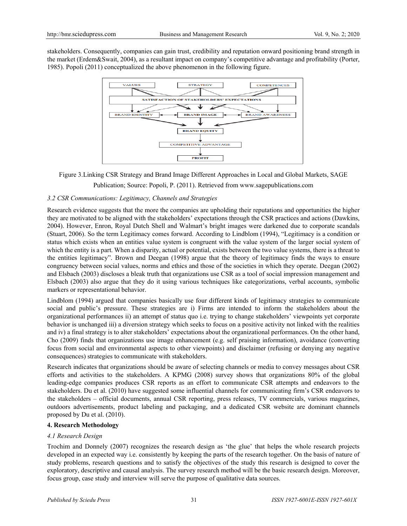stakeholders. Consequently, companies can gain trust, credibility and reputation onward positioning brand strength in the market (Erdem&Swait, 2004), as a resultant impact on company's competitive advantage and profitability (Porter, 1985). Popoli (2011) conceptualized the above phenomenon in the following figure.



Figure 3.Linking CSR Strategy and Brand Image Different Approaches in Local and Global Markets, SAGE Publication; Source: Popoli, P. (2011). Retrieved from www.sagepublications.com

#### *3.2 CSR Communications: Legitimacy, Channels and Strategies*

Research evidence suggests that the more the companies are upholding their reputations and opportunities the higher they are motivated to be aligned with the stakeholders' expectations through the CSR practices and actions (Dawkins, 2004). However, Enron, Royal Dutch Shell and Walmart's bright images were darkened due to corporate scandals (Stuart, 2006). So the term Legitimacy comes forward. According to Lindblom (1994), "Legitimacy is a condition or status which exists when an entities value system is congruent with the value system of the larger social system of which the entity is a part. When a disparity, actual or potential, exists between the two value systems, there is a threat to the entities legitimacy". Brown and Deegan (1998) argue that the theory of legitimacy finds the ways to ensure congruency between social values, norms and ethics and those of the societies in which they operate. Deegan (2002) and Elsbach (2003) discloses a bleak truth that organizations use CSR as a tool of social impression management and Elsbach (2003) also argue that they do it using various techniques like categorizations, verbal accounts, symbolic markers or representational behavior.

Lindblom (1994) argued that companies basically use four different kinds of legitimacy strategies to communicate social and public's pressure. These strategies are i) Firms are intended to inform the stakeholders about the organizational performances ii) an attempt of status quo i.e. trying to change stakeholders' viewpoints yet corporate behavior is unchanged iii) a diversion strategy which seeks to focus on a positive activity not linked with the realities and iv) a final strategy is to alter stakeholders' expectations about the organizational performances. On the other hand, Cho (2009) finds that organizations use image enhancement (e.g. self praising information), avoidance (converting focus from social and environmental aspects to other viewpoints) and disclaimer (refusing or denying any negative consequences) strategies to communicate with stakeholders.

Research indicates that organizations should be aware of selecting channels or media to convey messages about CSR efforts and activities to the stakeholders. A KPMG (2008) survey shows that organizations 80% of the global leading-edge companies produces CSR reports as an effort to communicate CSR attempts and endeavors to the stakeholders. Du et al. (2010) have suggested some influential channels for communicating firm's CSR endeavors to the stakeholders – official documents, annual CSR reporting, press releases, TV commercials, various magazines, outdoors advertisements, product labeling and packaging, and a dedicated CSR website are dominant channels proposed by Du et al. (2010).

#### **4. Research Methodology**

#### *4.1 Research Design*

Trochim and Donnely (2007) recognizes the research design as 'the glue' that helps the whole research projects developed in an expected way i.e. consistently by keeping the parts of the research together. On the basis of nature of study problems, research questions and to satisfy the objectives of the study this research is designed to cover the exploratory, descriptive and causal analysis. The survey research method will be the basic research design. Moreover, focus group, case study and interview will serve the purpose of qualitative data sources.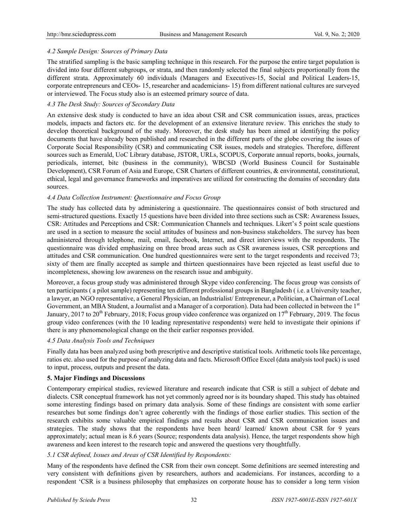### *4.2 Sample Design: Sources of Primary Data*

The stratified sampling is the basic sampling technique in this research. For the purpose the entire target population is divided into four different subgroups, or strata, and then randomly selected the final subjects proportionally from the different strata. Approximately 60 individuals (Managers and Executives-15, Social and Political Leaders-15, corporate entrepreneurs and CEOs- 15, researcher and academicians- 15) from different national cultures are surveyed or interviewed. The Focus study also is an esteemed primary source of data.

### *4.3 The Desk Study: Sources of Secondary Data*

An extensive desk study is conducted to have an idea about CSR and CSR communication issues, areas, practices models, impacts and factors etc. for the development of an extensive literature review. This enriches the study to develop theoretical background of the study. Moreover, the desk study has been aimed at identifying the policy documents that have already been published and researched in the different parts of the globe covering the issues of Corporate Social Responsibility (CSR) and communicating CSR issues, models and strategies. Therefore, different sources such as Emerald, UoC Library database, JSTOR, URLs, SCOPUS, Corporate annual reports, books, journals, periodicals, internet, bitc (business in the community), WBCSD (World Business Council for Sustainable Development), CSR Forum of Asia and Europe, CSR Charters of different countries, & environmental, constitutional, ethical, legal and governance frameworks and imperatives are utilized for constructing the domains of secondary data sources.

#### *4.4 Data Collection Instrument: Questionnaire and Focus Group*

The study has collected data by administering a questionnaire. The questionnaires consist of both structured and semi-structured questions. Exactly 15 questions have been divided into three sections such as CSR: Awareness Issues, CSR: Attitudes and Perceptions and CSR: Communication Channels and techniques. Likert's 5 point scale questions are used in a section to measure the social attitudes of business and non-business stakeholders. The survey has been administered through telephone, mail, email, facebook, Internet, and direct interviews with the respondents. The questionnaire was divided emphasizing on three broad areas such as CSR awareness issues, CSR perceptions and attitudes and CSR communication. One hundred questionnaires were sent to the target respondents and received 73; sixty of them are finally accepted as sample and thirteen questionnaires have been rejected as least useful due to incompleteness, showing low awareness on the research issue and ambiguity.

Moreover, a focus group study was administered through Skype video conferencing. The focus group was consists of ten participants ( a pilot sample) representing ten different professional groups in Bangladesh ( i.e. a University teacher, a lawyer, an NGO representative, a General Physician, an Industrialist/ Entrepreneur, a Politician, a Chairman of Local Government, an MBA Student, a Journalist and a Manager of a corporation). Data had been collected in between the 1st January, 2017 to 20<sup>th</sup> February, 2018; Focus group video conference was organized on  $17<sup>th</sup>$  February, 2019. The focus group video conferences (with the 10 leading representative respondents) were held to investigate their opinions if there is any phenomenological change on the their earlier responses provided.

#### *4.5 Data Analysis Tools and Techniques*

Finally data has been analyzed using both prescriptive and descriptive statistical tools. Arithmetic tools like percentage, ratios etc. also used for the purpose of analyzing data and facts. Microsoft Office Excel (data analysis tool pack) is used to input, process, outputs and present the data.

#### **5. Major Findings and Discussions**

Contemporary empirical studies, reviewed literature and research indicate that CSR is still a subject of debate and dialects. CSR conceptual framework has not yet commonly agreed nor is its boundary shaped. This study has obtained some interesting findings based on primary data analysis. Some of these findings are consistent with some earlier researches but some findings don't agree coherently with the findings of those earlier studies. This section of the research exhibits some valuable empirical findings and results about CSR and CSR communication issues and strategies. The study shows that the respondents have been heard/ learned/ known about CSR for 9 years approximately; actual mean is 8.6 years (Source; respondents data analysis). Hence, the target respondents show high awareness and keen interest to the research topic and answered the questions very thoughtfully.

# *5.1 CSR defined, Issues and Areas of CSR Identified by Respondents:*

Many of the respondents have defined the CSR from their own concept. Some definitions are seemed interesting and very consistent with definitions given by researchers, authors and academicians. For instances, according to a respondent 'CSR is a business philosophy that emphasizes on corporate house has to consider a long term vision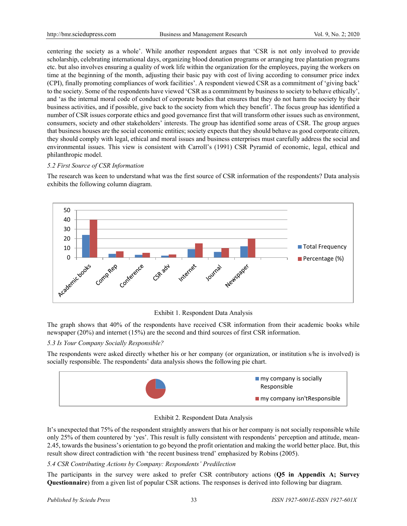centering the society as a whole'. While another respondent argues that 'CSR is not only involved to provide scholarship, celebrating international days, organizing blood donation programs or arranging tree plantation programs etc. but also involves ensuring a quality of work life within the organization for the employees, paying the workers on time at the beginning of the month, adjusting their basic pay with cost of living according to consumer price index (CPI), finally promoting compliances of work facilities'. A respondent viewed CSR as a commitment of 'giving back' to the society. Some of the respondents have viewed 'CSR as a commitment by business to society to behave ethically', and 'as the internal moral code of conduct of corporate bodies that ensures that they do not harm the society by their business activities, and if possible, give back to the society from which they benefit'. The focus group has identified a number of CSR issues corporate ethics and good governance first that will transform other issues such as environment, consumers, society and other stakeholders' interests. The group has identified some areas of CSR. The group argues that business houses are the social economic entities; society expects that they should behave as good corporate citizen, they should comply with legal, ethical and moral issues and business enterprises must carefully address the social and environmental issues. This view is consistent with Carroll's (1991) CSR Pyramid of economic, legal, ethical and philanthropic model.

#### *5.2 First Source of CSR Information*

The research was keen to understand what was the first source of CSR information of the respondents? Data analysis exhibits the following column diagram.



Exhibit 1. Respondent Data Analysis

The graph shows that 40% of the respondents have received CSR information from their academic books while newspaper (20%) and internet (15%) are the second and third sources of first CSR information.

#### *5.3 Is Your Company Socially Responsible?*

The respondents were asked directly whether his or her company (or organization, or institution s/he is involved) is socially responsible. The respondents' data analysis shows the following pie chart.



Exhibit 2. Respondent Data Analysis

It's unexpected that 75% of the respondent straightly answers that his or her company is not socially responsible while only 25% of them countered by 'yes'. This result is fully consistent with respondents' perception and attitude, mean-2.45, towards the business's orientation to go beyond the profit orientation and making the world better place. But, this result show direct contradiction with 'the recent business trend' emphasized by Robins (2005).

#### *5.4 CSR Contributing Actions by Company: Respondents' Predilection*

The participants in the survey were asked to prefer CSR contributory actions (**Q5 in Appendix A; Survey Questionnaire**) from a given list of popular CSR actions. The responses is derived into following bar diagram.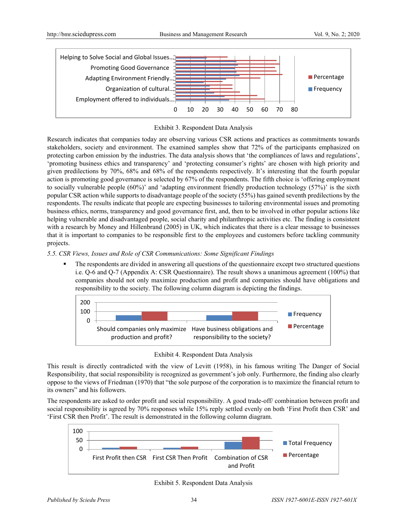

Exhibit 3. Respondent Data Analysis

Research indicates that companies today are observing various CSR actions and practices as commitments towards stakeholders, society and environment. The examined samples show that 72% of the participants emphasized on protecting carbon emission by the industries. The data analysis shows that 'the compliances of laws and regulations', 'promoting business ethics and transparency' and 'protecting consumer's rights' are chosen with high priority and given predilections by 70%, 68% and 68% of the respondents respectively. It's interesting that the fourth popular action is promoting good governance is selected by 67% of the respondents. The fifth choice is 'offering employment to socially vulnerable people (60%)' and 'adapting environment friendly production technology (57%)' is the sixth popular CSR action while supports to disadvantage people of the society (55%) has gained seventh predilections by the respondents. The results indicate that people are expecting businesses to tailoring environmental issues and promoting business ethics, norms, transparency and good governance first, and, then to be involved in other popular actions like helping vulnerable and disadvantaged people, social charity and philanthropic activities etc. The finding is consistent with a research by Money and Hillenbrand (2005) in UK, which indicates that there is a clear message to businesses that it is important to companies to be responsible first to the employees and customers before tackling community projects.

*5.5. CSR Views, Issues and Role of CSR Communications: Some Significant Findings*

 The respondents are divided in answering all questions of the questionnaire except two structured questions i.e. Q-6 and Q-7 (Appendix A: CSR Questionnaire). The result shows a unanimous agreement (100%) that companies should not only maximize production and profit and companies should have obligations and responsibility to the society. The following column diagram is depicting the findings.



Exhibit 4. Respondent Data Analysis

This result is directly contradicted with the view of Levitt (1958), in his famous writing The Danger of Social Responsibility, that social responsibility is recognized as government's job only. Furthermore, the finding also clearly oppose to the views of Friedman (1970) that "the sole purpose of the corporation is to maximize the financial return to its owners" and his followers.

The respondents are asked to order profit and social responsibility. A good trade-off/ combination between profit and social responsibility is agreed by 70% responses while 15% reply settled evenly on both 'First Profit then CSR' and 'First CSR then Profit'. The result is demonstrated in the following column diagram.



Exhibit 5. Respondent Data Analysis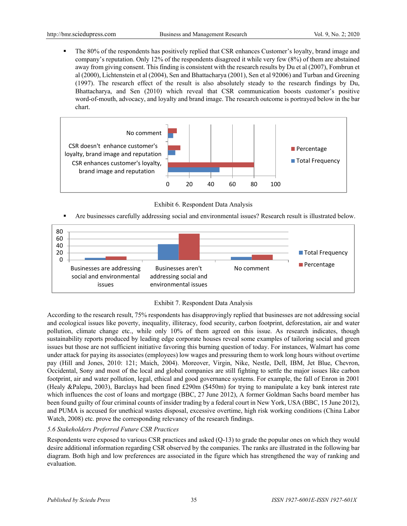The 80% of the respondents has positively replied that CSR enhances Customer's loyalty, brand image and company's reputation. Only 12% of the respondents disagreed it while very few (8%) of them are abstained away from giving consent. This finding is consistent with the research results by Du et al (2007), Fombrun et al (2000), Lichtenstein et al (2004), Sen and Bhattacharya (2001), Sen et al 92006) and Turban and Greening (1997). The research effect of the result is also absolutely steady to the research findings by Du, Bhattacharya, and Sen (2010) which reveal that CSR communication boosts customer's positive word-of-mouth, advocacy, and loyalty and brand image. The research outcome is portrayed below in the bar chart.



Exhibit 6. Respondent Data Analysis

Are businesses carefully addressing social and environmental issues? Research result is illustrated below.



Exhibit 7. Respondent Data Analysis

According to the research result, 75% respondents has disapprovingly replied that businesses are not addressing social and ecological issues like poverty, inequality, illiteracy, food security, carbon footprint, deforestation, air and water pollution, climate change etc., while only 10% of them agreed on this issue. As research indicates, though sustainability reports produced by leading edge corporate houses reveal some examples of tailoring social and green issues but those are not sufficient initiative favoring this burning question of today. For instances, Walmart has come under attack for paying its associates (employees) low wages and pressuring them to work long hours without overtime pay (Hill and Jones, 2010: 121; Maich, 2004). Moreover, Virgin, Nike, Nestle, Dell, IBM, Jet Blue, Chevron, Occidental, Sony and most of the local and global companies are still fighting to settle the major issues like carbon footprint, air and water pollution, legal, ethical and good governance systems. For example, the fall of Enron in 2001 (Healy &Palepu, 2003), Barclays had been fined £290m (\$450m) for trying to manipulate a key bank interest rate which influences the cost of loans and mortgage (BBC, 27 June 2012), A former Goldman Sachs board member has been found guilty of four criminal counts of insider trading by a federal court in New York, USA (BBC, 15 June 2012), and PUMA is accused for unethical wastes disposal, excessive overtime, high risk working conditions (China Labor Watch, 2008) etc. prove the corresponding relevancy of the research findings.

# *5.6 Stakeholders Preferred Future CSR Practices*

Respondents were exposed to various CSR practices and asked (Q-13) to grade the popular ones on which they would desire additional information regarding CSR observed by the companies. The ranks are illustrated in the following bar diagram. Both high and low preferences are associated in the figure which has strengthened the way of ranking and evaluation.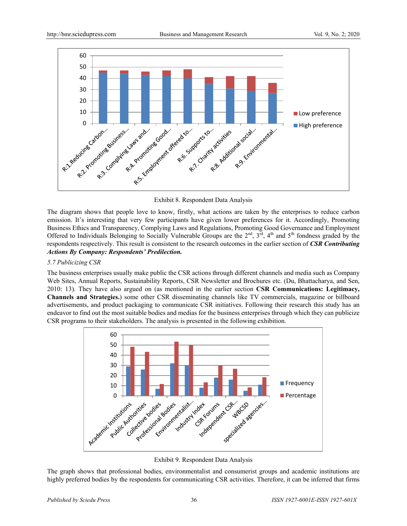

Exhibit 8. Respondent Data Analysis

The diagram shows that people love to know, firstly, what actions are taken by the enterprises to reduce carbon emission. It's interesting that very few participants have given lower preferences for it. Accordingly, Promoting Business Ethics and Transparency, Complying Laws and Regulations, Promoting Good Governance and Employment Offered to Individuals Belonging to Socially Vulnerable Groups are the  $2<sup>nd</sup>$ ,  $3<sup>rd</sup>$ ,  $4<sup>th</sup>$  and  $5<sup>th</sup>$  fondness graded by the respondents respectively. This result is consistent to the research outcomes in the earlier section of *CSR Contributing Actions By Company: Respondents' Predilection.* 

#### *5.7 Publicizing CSR*

The business enterprises usually make public the CSR actions through different channels and media such as Company Web Sites, Annual Reports, Sustainability Reports, CSR Newsletter and Brochures etc. (Du, Bhattacharya, and Sen, 2010: 13). They have also argued on (as mentioned in the earlier section **CSR Communications: Legitimacy, Channels and Strategies.**) some other CSR disseminating channels like TV commercials, magazine or billboard advertisements, and product packaging to communicate CSR initiatives. Following their research this study has an endeavor to find out the most suitable bodies and medias for the business enterprises through which they can publicize CSR programs to their stakeholders. The analysis is presented in the following exhibition.



Exhibit 9. Respondent Data Analysis

The graph shows that professional bodies, environmentalist and consumerist groups and academic institutions are highly preferred bodies by the respondents for communicating CSR activities. Therefore, it can be inferred that firms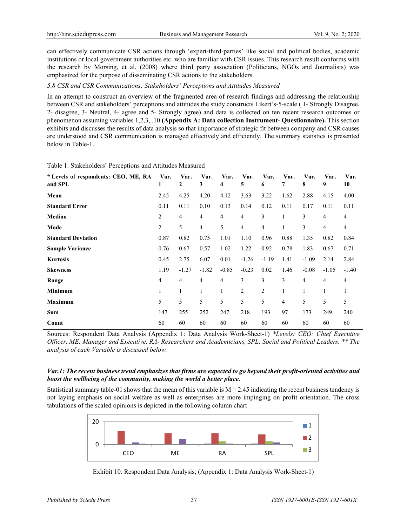can effectively communicate CSR actions through 'expert-third-parties' like social and political bodies, academic institutions or local government authorities etc. who are familiar with CSR issues. This research result conforms with the research by Morsing, et al. (2008) where third party association (Politicians, NGOs and Journalists) was emphasized for the purpose of disseminating CSR actions to the stakeholders.

#### *5.8 CSR and CSR Communications: Stakeholders' Perceptions and Attitudes Measured*

In an attempt to construct an overview of the fragmented area of research findings and addressing the relationship between CSR and stakeholders' perceptions and attitudes the study constructs Likert's-5-scale ( 1- Strongly Disagree, 2- disagree, 3- Neutral, 4- agree and 5- Strongly agree) and data is collected on ten recent research outcomes or phenomenon assuming variables 1,2,3,..10 **(Appendix A: Data collection Instrument- Questionnaire).** This section exhibits and discusses the results of data analysis so that importance of strategic fit between company and CSR causes are understood and CSR communication is managed effectively and efficiently. The summary statistics is presented below in Table-1.

| * Levels of respondents: CEO, ME, RA<br>and SPL | Var.<br>1      | Var.<br>$\overline{2}$ | Var.<br>3      | Var.<br>4      | Var.<br>5 | Var.<br>6 | Var.<br>7 | Var.<br>8      | Var.<br>9      | Var.<br>10 |
|-------------------------------------------------|----------------|------------------------|----------------|----------------|-----------|-----------|-----------|----------------|----------------|------------|
| Mean                                            | 2.45           | 4.25                   | 4.20           | 4.12           | 3.63      | 3.22      | 1.62      | 2.88           | 4.15           | 4.00       |
| <b>Standard Error</b>                           | 0.11           | 0.11                   | 0.10           | 0.13           | 0.14      | 0.12      | 0.11      | 0.17           | 0.11           | 0.11       |
| Median                                          | 2              | 4                      | $\overline{4}$ | 4              | 4         | 3         |           | 3              | $\overline{4}$ | 4          |
| Mode                                            | $\overline{2}$ | 5                      | $\overline{4}$ | 5              | 4         | 4         |           | 3              | $\overline{4}$ | 4          |
| <b>Standard Deviation</b>                       | 0.87           | 0.82                   | 0.75           | 1.01           | 1.10      | 0.96      | 0.88      | 1.35           | 0.82           | 0.84       |
| <b>Sample Variance</b>                          | 0.76           | 0.67                   | 0.57           | 1.02           | 1.22      | 0.92      | 0.78      | 1.83           | 0.67           | 0.71       |
| <b>Kurtosis</b>                                 | 0.45           | 2.75                   | 6.07           | 0.01           | $-1.26$   | $-1.19$   | 1.41      | $-1.09$        | 2.14           | 2.84       |
| <b>Skewness</b>                                 | 1.19           | $-1.27$                | $-1.82$        | $-0.85$        | $-0.23$   | 0.02      | 1.46      | $-0.08$        | $-1.05$        | $-1.40$    |
| Range                                           | $\overline{4}$ | $\overline{4}$         | $\overline{4}$ | $\overline{4}$ | 3         | 3         | 3         | $\overline{4}$ | $\overline{4}$ | 4          |
| <b>Minimum</b>                                  |                | 1                      | 1              | 1              | 2         | 2         |           | 1              |                | 1          |
| <b>Maximum</b>                                  | 5              | 5                      | 5              | 5              | 5         | 5         | 4         | 5              | 5              | 5          |
| Sum                                             | 147            | 255                    | 252            | 247            | 218       | 193       | 97        | 173            | 249            | 240        |
| Count                                           | 60             | 60                     | 60             | 60             | 60        | 60        | 60        | 60             | 60             | 60         |

Table 1. Stakeholders' Perceptions and Attitudes Measured

Sources: Respondent Data Analysis (Appendix 1: Data Analysis Work-Sheet-1) *\*Levels: CEO: Chief Executive Officer, ME: Manager and Executive, RA- Researchers and Academicians, SPL: Social and Political Leaders. \*\* The analysis of each Variable is discussed below.*

## *Var.1: The recent business trend emphasizes that firms are expected to go beyond their profit-oriented activities and boost the wellbeing of the community, making the world a better place.*

Statistical summary table-01 shows that the mean of this variable is  $M = 2.45$  indicating the recent business tendency is not laying emphasis on social welfare as well as enterprises are more impinging on profit orientation. The cross tabulations of the scaled opinions is depicted in the following column chart



Exhibit 10. Respondent Data Analysis; (Appendix 1: Data Analysis Work-Sheet-1)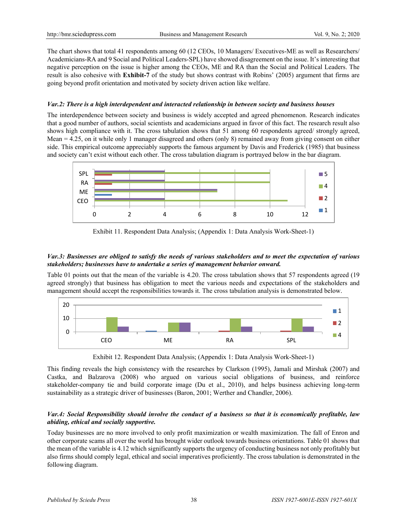The chart shows that total 41 respondents among 60 (12 CEOs, 10 Managers/ Executives-ME as well as Researchers/ Academicians-RA and 9 Social and Political Leaders-SPL) have showed disagreement on the issue. It's interesting that negative perception on the issue is higher among the CEOs, ME and RA than the Social and Political Leaders. The result is also cohesive with **Exhibit-7** of the study but shows contrast with Robins' (2005) argument that firms are going beyond profit orientation and motivated by society driven action like welfare.

#### *Var.2: There is a high interdependent and interacted relationship in between society and business houses*

The interdependence between society and business is widely accepted and agreed phenomenon. Research indicates that a good number of authors, social scientists and academicians argued in favor of this fact. The research result also shows high compliance with it. The cross tabulation shows that 51 among 60 respondents agreed/ strongly agreed, Mean = 4.25, on it while only 1 manager disagreed and others (only 8) remained away from giving consent on either side. This empirical outcome appreciably supports the famous argument by Davis and Frederick (1985) that business and society can't exist without each other. The cross tabulation diagram is portrayed below in the bar diagram.



Exhibit 11. Respondent Data Analysis; (Appendix 1: Data Analysis Work-Sheet-1)

# *Var.3: Businesses are obliged to satisfy the needs of various stakeholders and to meet the expectation of various stakeholders; businesses have to undertake a series of management behavior onward.*

Table 01 points out that the mean of the variable is 4.20. The cross tabulation shows that 57 respondents agreed (19 agreed strongly) that business has obligation to meet the various needs and expectations of the stakeholders and management should accept the responsibilities towards it. The cross tabulation analysis is demonstrated below.



Exhibit 12. Respondent Data Analysis; (Appendix 1: Data Analysis Work-Sheet-1)

This finding reveals the high consistency with the researches by Clarkson (1995), Jamali and Mirshak (2007) and Castka, and Balzarova (2008) who argued on various social obligations of business, and reinforce stakeholder-company tie and build corporate image (Du et al., 2010), and helps business achieving long-term sustainability as a strategic driver of businesses (Baron, 2001; Werther and Chandler, 2006).

# *Var.4: Social Responsibility should involve the conduct of a business so that it is economically profitable, law abiding, ethical and socially supportive.*

Today businesses are no more involved to only profit maximization or wealth maximization. The fall of Enron and other corporate scams all over the world has brought wider outlook towards business orientations. Table 01 shows that the mean of the variable is 4.12 which significantly supports the urgency of conducting business not only profitably but also firms should comply legal, ethical and social imperatives proficiently. The cross tabulation is demonstrated in the following diagram.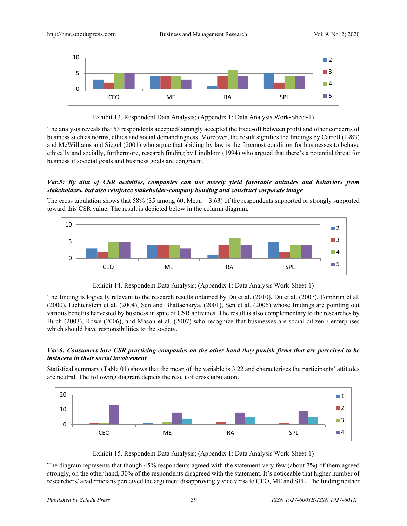

Exhibit 13. Respondent Data Analysis; (Appendix 1: Data Analysis Work-Sheet-1)

The analysis reveals that 53 respondents accepted/ strongly accepted the trade-off between profit and other concerns of business such as norms, ethics and social demandingness. Moreover, the result signifies the findings by Carroll (1983) and McWilliams and Siegel (2001) who argue that abiding by law is the foremost condition for businesses to behave ethically and socially, furthermore, research finding by Lindblom (1994) who argued that there's a potential threat for business if societal goals and business goals are congruent.

#### *Var.5: By dint of CSR activities, companies can not merely yield favorable attitudes and behaviors from stakeholders, but also reinforce stakeholder-company bonding and construct corporate image*

The cross tabulation shows that 58% (35 among 60, Mean = 3.63) of the respondents supported or strongly supported toward this CSR value. The result is depicted below in the column diagram.



Exhibit 14. Respondent Data Analysis; (Appendix 1: Data Analysis Work-Sheet-1)

The finding is logically relevant to the research results obtained by Du et al. (2010), Du et al. (2007), Fombrun et al. (2000), Lichtenstein et al. (2004), Sen and Bhattacharya, (2001), Sen et al. (2006) whose findings are pointing out various benefits harvested by business in spite of CSR activities. The result is also complementary to the researches by Birch (2003), Rowe (2006), and Mason et al. (2007) who recognize that businesses are social citizen / enterprises which should have responsibilities to the society.

#### *Var.6: Consumers love CSR practicing companies on the other hand they punish firms that are perceived to be insincere in their social involvement*

Statistical summary (Table 01) shows that the mean of the variable is 3.22 and characterizes the participants' attitudes are neutral. The following diagram depicts the result of cross tabulation.





The diagram represents that though 45% respondents agreed with the statement very few (about 7%) of them agreed strongly, on the other hand, 30% of the respondents disagreed with the statement. It's noticeable that higher number of researchers/ academicians perceived the argument disapprovingly vice versa to CEO, ME and SPL. The finding neither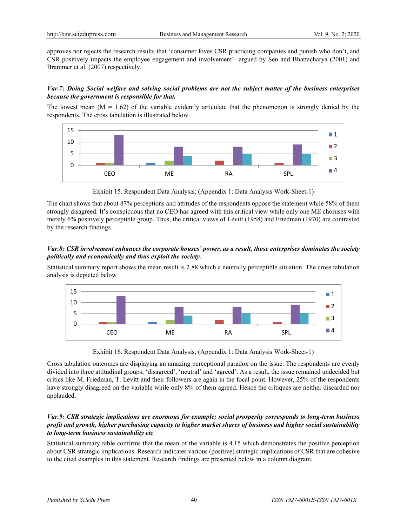approves nor rejects the research results that 'consumer loves CSR practicing companies and punish who don't, and CSR positively impacts the employee engagement and involvement'- argued by Sen and Bhattacharya (2001) and Brammer et al. (2007) respectively.

### *Var.7: Doing Social welfare and solving social problems are not the subject matter of the business enterprises because the government is responsible for that.*

The lowest mean  $(M = 1.62)$  of the variable evidently articulate that the phenomenon is strongly denied by the respondents. The cross tabulation is illustrated below.



Exhibit 15. Respondent Data Analysis; (Appendix 1: Data Analysis Work-Sheet-1)

The chart shows that about 87% perceptions and attitudes of the respondents oppose the statement while 58% of them strongly disagreed. It's conspicuous that no CEO has agreed with this critical view while only one ME choruses with merely 6% positively perceptible group. Thus, the critical views of Levitt (1958) and Friedman (1970) are contrasted by the research findings.

## *Var.8: CSR involvement enhances the corporate houses' power, as a result, those enterprises dominates the society politically and economically and thus exploit the society.*

Statistical summary report shows the mean result is 2.88 which a neutrally perceptible situation. The cross tabulation analysis is depicted below



Exhibit 16. Respondent Data Analysis; (Appendix 1: Data Analysis Work-Sheet-1)

Cross tabulation outcomes are displaying an amazing perceptional paradox on the issue. The respondents are evenly divided into three attitudinal groups; 'disagreed', 'neutral' and 'agreed'. As a result, the issue remained undecided but critics like M. Friedman, T. Levitt and their followers are again in the focal point. However, 25% of the respondents have strongly disagreed on the variable while only 8% of them agreed. Hence the critiques are neither discarded nor applauded.

#### *Var.9: CSR strategic implications are enormous for example; social prosperity corresponds to long-term business profit and growth, higher purchasing capacity to higher market shares of business and higher social sustainability to long-term business sustainability etc*

Statistical summary table confirms that the mean of the variable is 4.15 which demonstrates the positive perception about CSR strategic implications. Research indicates various (positive) strategic implications of CSR that are cohesive to the cited examples in this statement. Research findings are presented below in a column diagram.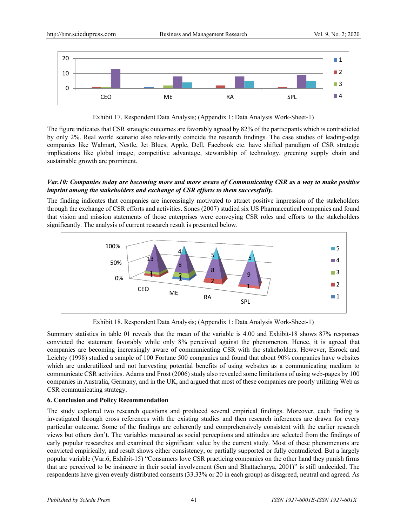

Exhibit 17. Respondent Data Analysis; (Appendix 1: Data Analysis Work-Sheet-1)

The figure indicates that CSR strategic outcomes are favorably agreed by 82% of the participants which is contradicted by only 2%. Real world scenario also relevantly coincide the research findings. The case studies of leading-edge companies like Walmart, Nestle, Jet Blues, Apple, Dell, Facebook etc. have shifted paradigm of CSR strategic implications like global image, competitive advantage, stewardship of technology, greening supply chain and sustainable growth are prominent.

#### *Var.10: Companies today are becoming more and more aware of Communicating CSR as a way to make positive imprint among the stakeholders and exchange of CSR efforts to them successfully.*

The finding indicates that companies are increasingly motivated to attract positive impression of the stakeholders through the exchange of CSR efforts and activities. Sones (2007) studied six US Pharmaceutical companies and found that vision and mission statements of those enterprises were conveying CSR roles and efforts to the stakeholders significantly. The analysis of current research result is presented below.



Exhibit 18. Respondent Data Analysis; (Appendix 1: Data Analysis Work-Sheet-1)

Summary statistics in table 01 reveals that the mean of the variable is 4.00 and Exhibit-18 shows 87% responses convicted the statement favorably while only 8% perceived against the phenomenon. Hence, it is agreed that companies are becoming increasingly aware of communicating CSR with the stakeholders. However, Esrock and Leichty (1998) studied a sample of 100 Fortune 500 companies and found that about 90% companies have websites which are underutilized and not harvesting potential benefits of using websites as a communicating medium to communicate CSR activities. Adams and Frost (2006) study also revealed some limitations of using web-pages by 100 companies in Australia, Germany, and in the UK, and argued that most of these companies are poorly utilizing Web as CSR communicating strategy.

#### **6. Conclusion and Policy Recommendation**

The study explored two research questions and produced several empirical findings. Moreover, each finding is investigated through cross references with the existing studies and then research inferences are drawn for every particular outcome. Some of the findings are coherently and comprehensively consistent with the earlier research views but others don't. The variables measured as social perceptions and attitudes are selected from the findings of early popular researches and examined the significant value by the current study. Most of these phenomenons are convicted empirically, and result shows either consistency, or partially supported or fully contradicted. But a largely popular variable (Var.6, Exhibit-15) "Consumers love CSR practicing companies on the other hand they punish firms that are perceived to be insincere in their social involvement (Sen and Bhattacharya, 2001)" is still undecided. The respondents have given evenly distributed consents (33.33% or 20 in each group) as disagreed, neutral and agreed. As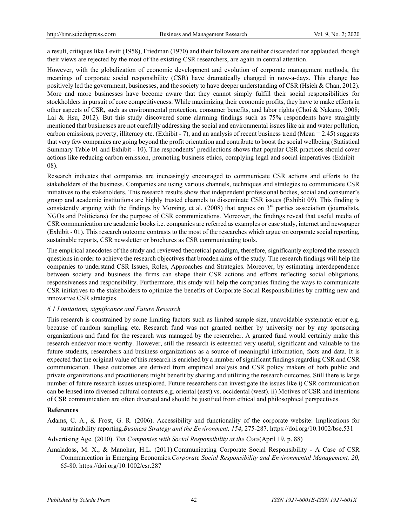a result, critiques like Levitt (1958), Friedman (1970) and their followers are neither discareded nor applauded, though their views are rejected by the most of the existing CSR researchers, are again in central attention.

However, with the globalization of economic development and evolution of corporate management methods, the meanings of corporate social responsibility (CSR) have dramatically changed in now-a-days. This change has positively led the government, businesses, and the society to have deeper understanding of CSR (Hsieh & Chan, 2012). More and more businesses have become aware that they cannot simply fulfill their social responsibilities for stockholders in pursuit of core competitiveness. While maximizing their economic profits, they have to make efforts in other aspects of CSR, such as environmental protection, consumer benefits, and labor rights (Choi & Nakano, 2008; Lai & Hsu, 2012). But this study discovered some alarming findings such as 75% respondents have straightly mentioned that businesses are not carefully addressing the social and environmental issues like air and water pollution, carbon emissions, poverty, illiteracy etc. (Exhibit - 7), and an analysis of recent business trend (Mean = 2.45) suggests that very few companies are going beyond the profit orientation and contribute to boost the social wellbeing (Statistical Summary Table 01 and Exhibit - 10). The respondents' predilections shows that popular CSR practices should cover actions like reducing carbon emission, promoting business ethics, complying legal and social imperatives (Exhibit – 08).

Research indicates that companies are increasingly encouraged to communicate CSR actions and efforts to the stakeholders of the business. Companies are using various channels, techniques and strategies to communicate CSR initiatives to the stakeholders. This research results show that independent professional bodies, social and consumer's group and academic institutions are highly trusted channels to disseminate CSR issues (Exhibit 09). This finding is consistently arguing with the findings by Morsing, et al. (2008) that argues on  $3<sup>rd</sup>$  parties association (journalists, NGOs and Politicians) for the purpose of CSR communications. Moreover, the findings reveal that useful media of CSR communication are academic books i.e. companies are referred as examples or case study, internet and newspaper (Exhibit - 01). This research outcome contrasts to the most of the researches which argue on corporate social reporting, sustainable reports, CSR newsletter or brochures as CSR communicating tools.

The empirical anecdotes of the study and reviewed theoretical paradigm, therefore, significantly explored the research questions in order to achieve the research objectives that broaden aims of the study. The research findings will help the companies to understand CSR Issues, Roles, Approaches and Strategies. Moreover, by estimating interdependence between society and business the firms can shape their CSR actions and efforts reflecting social obligations, responsiveness and responsibility. Furthermore, this study will help the companies finding the ways to communicate CSR initiatives to the stakeholders to optimize the benefits of Corporate Social Responsibilities by crafting new and innovative CSR strategies.

#### *6.1 Limitations, significance and Future Research*

This research is constrained by some limiting factors such as limited sample size, unavoidable systematic error e.g. because of random sampling etc. Research fund was not granted neither by university nor by any sponsoring organizations and fund for the research was managed by the researcher. A granted fund would certainly make this research endeavor more worthy. However, still the research is esteemed very useful, significant and valuable to the future students, researchers and business organizations as a source of meaningful information, facts and data. It is expected that the original value of this research is enriched by a number of significant findings regarding CSR and CSR communication. These outcomes are derived from empirical analysis and CSR policy makers of both public and private organizations and practitioners might benefit by sharing and utilizing the research outcomes. Still there is large number of future research issues unexplored. Future researchers can investigate the issues like i) CSR communication can be lensed into diversed cultural contexts e.g. oriental (east) vs. occidental (west). ii) Motives of CSR and intentions of CSR communication are often diversed and should be justified from ethical and philosophical perspectives.

#### **References**

Adams, C. A., & Frost, G. R. (2006). Accessibility and functionality of the corporate website: Implications for sustainability reporting.*Business Strategy and the Environment, 154*, 275-287. https://doi.org/10.1002/bse.531

Advertising Age. (2010). *Ten Companies with Social Responsibility at the Core*(April 19, p. 88)

Amaladoss, M. X., & Manohar, H.L. (2011).Communicating Corporate Social Responsibility - A Case of CSR Communication in Emerging Economies.*Corporate Social Responsibility and Environmental Management, 20*, 65-80. https://doi.org/10.1002/csr.287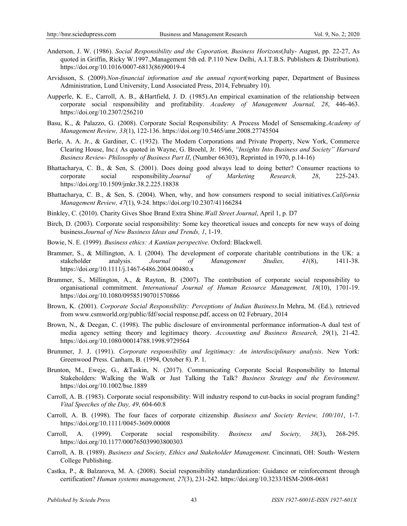- Anderson, J. W. (1986). *Social Responsibility and the Coporation, Business Horizons*(July- August, pp. 22-27, As quoted in Griffin, Ricky W.1997.,Management 5th ed. P.110 New Delhi, A.I.T.B.S. Publishers & Distribution). https://doi.org/10.1016/0007-6813(86)90019-4
- Arvidsson, S. (2009).*Non-financial information and the annual report*(working paper, Department of Business Administration, Lund University, Lund Associated Press, 2014, Februabry 10).
- Aupperle, K. E., Carroll, A. B., &Hartfield, J. D. (1985).An empirical examination of the relationship between corporate social responsibility and profitability. *Academy of Management Journal, 28*, 446-463. https://doi.org/10.2307/256210
- Basu, K., & Palazzo, G. (2008). Corporate Social Responsibility: A Process Model of Sensemaking.*Academy of Management Review, 33*(1), 122-136. https://doi.org/10.5465/amr.2008.27745504
- Berle, A. A. Jr., & Gardiner, C. (1932). The Modern Corporations and Private Property, New York, Commerce Clearing House, Inc.( As quoted in Wayne, G. Broehl, Jr. 1966, *"Insights Into Business and Society" Harvard Business Review- Philosophy of Business Part II*, (Number 66303), Reprinted in 1970, p.14-16)
- Bhattacharya, C. B., & Sen, S. (2001). Does doing good always lead to doing better? Consumer reactions to corporate social responsibility.*Journal of Marketing Research, 28*, 225-243. https://doi.org/10.1509/jmkr.38.2.225.18838
- Bhattacharya, C. B., & Sen, S. (2004). When, why, and how consumers respond to social initiatives.*California Management Review, 47*(1), 9-24. https://doi.org/10.2307/41166284
- Binkley, C. (2010). Charity Gives Shoe Brand Extra Shine.*Wall Street Journal*, April 1, p. D7
- Birch, D. (2003). Corporate social responsibility: Some key theoretical issues and concepts for new ways of doing business.*Journal of New Business Ideas and Trends, 1*, 1-19.
- Bowie, N. E. (1999). *Business ethics: A Kantian perspective*. Oxford: Blackwell.
- Brammer, S., & Millington, A. I. (2004). The development of corporate charitable contributions in the UK: a stakeholder analysis. *Journal of Management Studies, 41*(8), 1411-38. https://doi.org/10.1111/j.1467-6486.2004.00480.x
- Brammer, S., Millington, A., & Rayton, B. (2007). The contribution of corporate social responsibility to organisational commitment. *International Journal of Human Resource Management, 18*(10), 1701-19. https://doi.org/10.1080/09585190701570866
- Brown, K. (2001). *Corporate Social Responsibility: Perceptions of Indian Business*.In Mehra, M. (Ed.), retrieved from www.csmworld.org/public/fdf/social response.pdf, access on 02 February, 2014
- Brown, N., & Deegan, C. (1998). The public disclosure of environmental performance information-A dual test of media agency setting theory and legitimacy theory. *Accounting and Business Research, 29*(1), 21-42. https://doi.org/10.1080/00014788.1998.9729564
- Brummer, J. J. (1991). *Corporate responsibility and legitimacy: An interdisciplinary analysis*. New York: Greenwood Press. Canham, B. (1994, October 8). P. 1.
- Brunton, M., Eweje, G., &Taskin, N. (2017). Communicating Corporate Social Responsibility to Internal Stakeholders: Walking the Walk or Just Talking the Talk? *Business Strategy and the Environment*. https://doi.org/10.1002/bse.1889
- Carroll, A. B. (1983). Corporate social responsibility: Will industry respond to cut-backs in social program funding? *Vital Speeches of the Day, 49*, 604-60.8
- Carroll, A. B. (1998). The four faces of corporate citizenship. *Business and Society Review, 100/101*, 1-7. https://doi.org/10.1111/0045-3609.00008
- Carroll, A. (1999). Corporate social responsibility. *Business and Society, 38*(3), 268-295. https://doi.org/10.1177/000765039903800303
- Carroll, A. B. (1989). *Business and Society, Ethics and Stakeholder Management*. Cincinnati, OH: South- Western College Publishing.
- Castka, P., & Balzarova, M. A. (2008). Social responsibility standardization: Guidance or reinforcement through certification? *Human systems management, 27*(3), 231-242. https://doi.org/10.3233/HSM-2008-0681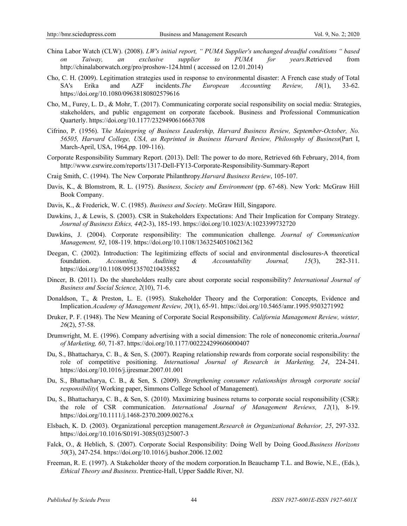- China Labor Watch (CLW). (2008). *LW's initial report, " PUMA Supplier's unchanged dreadful conditions " based on Taiway, an exclusive supplier to PUMA for years*.Retrieved from http://chinalaborwatch.org/pro/proshow-124.html ( accessed on 12.01.2014)
- Cho, C. H. (2009). Legitimation strategies used in response to environmental disaster: A French case study of Total SA's Erika and AZF incidents.*The European Accounting Review, 18*(1), 33-62. https://doi.org/10.1080/09638180802579616
- Cho, M., Furey, L. D., & Mohr, T. (2017). Communicating corporate social responsibility on social media: Strategies, stakeholders, and public engagement on corporate facebook. Business and Professional Communication Quarterly. https://doi.org/10.1177/2329490616663708
- Cifrino, P. (1956). T*he Mainspring of Business Leadership, Harvard Business Review, September-October, No. 56505, Harvard College, USA, as Reprinted in Business Harvard Review, Philosophy of Business*(Part I, March-April, USA, 1964,pp. 109-116).
- Corporate Responsibility Summary Report. (2013). Dell: The power to do more, Retrieved 6th February, 2014, from http://www.csrwire.com/reports/1317-Dell-FY13-Corporate-Responsibility-Summary-Report
- Craig Smith, C. (1994). The New Corporate Philanthropy.*Harvard Business Review*, 105-107.
- Davis, K., & Blomstrom, R. L. (1975). *Business, Society and Environment* (pp. 67-68). New York: McGraw Hill Book Company.
- Davis, K., & Frederick, W. C. (1985). *Business and Society*. McGraw Hill, Singapore.
- Dawkins, J., & Lewis, S. (2003). CSR in Stakeholders Expectations: And Their Implication for Company Strategy. *Journal of Business Ethics, 44*(2-3), 185-193. https://doi.org/10.1023/A:1023399732720
- Dawkins, J. (2004). Corporate responsibility: The communication challenge. *Journal of Communication Management, 92*, 108-119. https://doi.org/10.1108/13632540510621362
- Deegan, C. (2002). Introduction: The legitimizing effects of social and environmental disclosures-A theoretical foundation. *Accounting, Auditing & Accountability Journal, 15*(3), 282-311. https://doi.org/10.1108/09513570210435852
- Dincer, B. (2011). Do the shareholders really care about corporate social responsibility? *International Journal of Business and Social Science, 2*(10), 71-6.
- Donaldson, T., & Preston, L. E. (1995). Stakeholder Theory and the Corporation: Concepts, Evidence and Implication.*Academy of Management Review, 20*(1), 65-91. https://doi.org/10.5465/amr.1995.9503271992
- Druker, P. F. (1948). The New Meaning of Corporate Social Responsibility. *California Management Review, winter, 26*(2), 57-58.
- Drumwright, M. E. (1996). Company advertising with a social dimension: The role of noneconomic criteria.*Journal of Marketing, 60*, 71-87. https://doi.org/10.1177/002224299606000407
- Du, S., Bhattacharya, C. B., & Sen, S. (2007). Reaping relationship rewards from corporate social responsibility: the role of competitive positioning. *International Journal of Research in Marketing, 24*, 224-241. https://doi.org/10.1016/j.ijresmar.2007.01.001
- Du, S., Bhattacharya, C. B., & Sen, S. (2009). *Strengthening consumer relationships through corporate social responsibility*( Working paper, Simmons College School of Management).
- Du, S., Bhattacharya, C. B., & Sen, S. (2010). Maximizing business returns to corporate social responsibility (CSR): the role of CSR communication. *International Journal of Management Reviews, 12*(1), 8-19. https://doi.org/10.1111/j.1468-2370.2009.00276.x
- Elsbach, K. D. (2003). Organizational perception management.*Research in Organizational Behavior, 25*, 297-332. https://doi.org/10.1016/S0191-3085(03)25007-3
- Falck, O., & Heblich, S. (2007). Corporate Social Responsibility: Doing Well by Doing Good.*Business Horizons 50*(3), 247-254. https://doi.org/10.1016/j.bushor.2006.12.002
- Freeman, R. E. (1997). A Stakeholder theory of the modern corporation.In Beauchamp T.L. and Bowie, N.E., (Eds.), *Ethical Theory and Business*. Prentice-Hall, Upper Saddle River, NJ.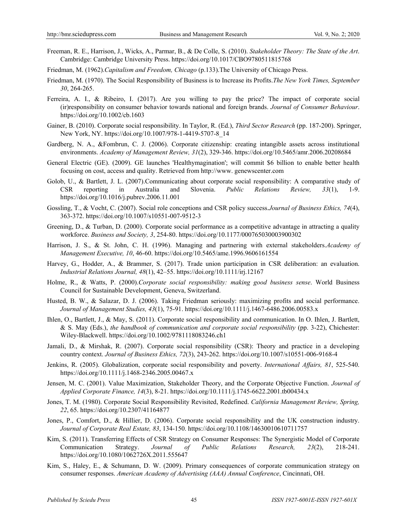- Freeman, R. E., Harrison, J., Wicks, A., Parmar, B., & De Colle, S. (2010). *Stakeholder Theory: The State of the Art*. Cambridge: Cambridge University Press. https://doi.org/10.1017/CBO9780511815768
- Friedman, M. (1962).*Capitalism and Freedom, Chicago* (p.133).The University of Chicago Press.
- Friedman, M. (1970). The Social Responsibility of Business is to Increase its Profits.*The New York Times, September 30*, 264-265.
- Ferreira, A. I., & Ribeiro, I. (2017). Are you willing to pay the price? The impact of corporate social (ir)responsibility on consumer behavior towards national and foreign brands. *Journal of Consumer Behaviour*. https://doi.org/10.1002/cb.1603
- Gainer, B. (2010). Corporate social responsibility. In Taylor, R. (Ed.), *Third Sector Research* (pp. 187-200). Springer, New York, NY. https://doi.org/10.1007/978-1-4419-5707-8\_14
- Gardberg, N. A., &Fombrun, C. J. (2006). Corporate citizenship: creating intangible assets across institutional environments. *Academy of Management Review, 31*(2), 329-346. https://doi.org/10.5465/amr.2006.20208684
- General Electric (GE). (2009). GE launches 'Healthymagination'; will commit \$6 billion to enable better health focusing on cost, access and quality. Retrieved from http://www. genewscenter.com
- Golob, U., & Bartlett, J. L. (2007).Communicating about corporate social responsibility: A comparative study of CSR reporting in Australia and Slovenia. *Public Relations Review, 33*(1), 1-9. https://doi.org/10.1016/j.pubrev.2006.11.001
- Gossling, T., & Vocht, C. (2007). Social role conceptions and CSR policy success.*Journal of Business Ethics, 74*(4), 363-372. https://doi.org/10.1007/s10551-007-9512-3
- Greening, D., & Turban, D. (2000). Corporate social performance as a competitive advantage in attracting a quality workforce. *Business and Society, 3*, 254-80. https://doi.org/10.1177/000765030003900302
- Harrison, J. S., & St. John, C. H. (1996). Managing and partnering with external stakeholders.*Academy of Management Executive, 10*, 46-60. https://doi.org/10.5465/ame.1996.9606161554
- Harvey, G., Hodder, A., & Brammer, S. (2017). Trade union participation in CSR deliberation: an evaluation. *Industrial Relations Journal, 48*(1), 42–55. https://doi.org/10.1111/irj.12167
- Holme, R., & Watts, P. (2000).*Corporate social responsibility: making good business sense*. World Business Council for Sustainable Development, Geneva, Switzerland.
- Husted, B. W., & Salazar, D. J. (2006). Taking Friedman seriously: maximizing profits and social performance. *Journal of Management Studies, 43*(1), 75-91. https://doi.org/10.1111/j.1467-6486.2006.00583.x
- Ihlen, O., Bartlett, J., & May, S. (2011). Corporate social responsibility and communication. In O. Ihlen, J. Bartlett, & S. May (Eds.), *the handbook of communication and corporate social responsibility* (pp. 3-22), Chichester: Wiley-Blackwell. https://doi.org/10.1002/9781118083246.ch1
- Jamali, D., & Mirshak, R. (2007). Corporate social responsibility (CSR): Theory and practice in a developing country context. *Journal of Business Ethics, 72*(3), 243-262. https://doi.org/10.1007/s10551-006-9168-4
- Jenkins, R. (2005). Globalization, corporate social responsibility and poverty. *International Affairs, 81*, 525-540. https://doi.org/10.1111/j.1468-2346.2005.00467.x
- Jensen, M. C. (2001). Value Maximization, Stakeholder Theory, and the Corporate Objective Function. *Journal of Applied Corporate Finance, 14*(3), 8-21. https://doi.org/10.1111/j.1745-6622.2001.tb00434.x
- Jones, T. M. (1980). Corporate Social Responsibility Revisited, Redefined. *California Management Review, Spring, 22*, 65. https://doi.org/10.2307/41164877
- Jones, P., Comfort, D., & Hillier, D. (2006). Corporate social responsibility and the UK construction industry. *Journal of Corporate Real Estate, 83*, 134-150. https://doi.org/10.1108/14630010610711757
- Kim, S. (2011). Transferring Effects of CSR Strategy on Consumer Responses: The Synergistic Model of Corporate Communication Strategy. *Journal of Public Relations Research, 23*(2), 218-241. https://doi.org/10.1080/1062726X.2011.555647
- Kim, S., Haley, E., & Schumann, D. W. (2009). Primary consequences of corporate communication strategy on consumer responses. *American Academy of Advertising (AAA) Annual Conference*, Cincinnati, OH.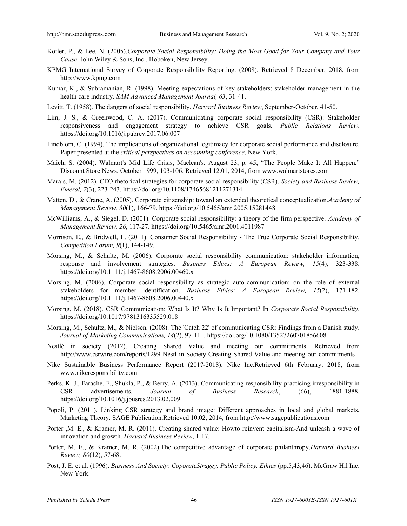- Kotler, P., & Lee, N. (2005).*Corporate Social Responsibility: Doing the Most Good for Your Company and Your Cause*. John Wiley & Sons, Inc., Hoboken, New Jersey.
- KPMG International Survey of Corporate Responsibility Reporting. (2008). Retrieved 8 December, 2018, from http://www.kpmg.com
- Kumar, K., & Subramanian, R. (1998). Meeting expectations of key stakeholders: stakeholder management in the health care industry. *SAM Advanced Management Journal, 63*, 31-41.
- Levitt, T. (1958). The dangers of social responsibility. *Harvard Business Review*, September-October, 41-50.
- Lim, J. S., & Greenwood, C. A. (2017). Communicating corporate social responsibility (CSR): Stakeholder responsiveness and engagement strategy to achieve CSR goals. *Public Relations Review*. https://doi.org/10.1016/j.pubrev.2017.06.007
- Lindblom, C. (1994). The implications of organizational legitimacy for corporate social performance and disclosure. Paper presented at the *critical perspectives on accounting conference*, New York.
- Maich, S. (2004). Walmart's Mid Life Crisis, Maclean's, August 23, p. 45, "The People Make It All Happen," Discount Store News, October 1999, 103-106. Retrieved 12.01, 2014, from www.walmartstores.com
- Marais, M. (2012). CEO rhetorical strategies for corporate social responsibility (CSR). *Society and Business Review, Emeral, 7*(3), 223-243. https://doi.org/10.1108/17465681211271314
- Matten, D., & Crane, A. (2005). Corporate citizenship: toward an extended theoretical conceptualization.*Academy of Management Review, 30*(1), 166-79. https://doi.org/10.5465/amr.2005.15281448
- McWilliams, A., & Siegel, D. (2001). Corporate social responsibility: a theory of the firm perspective. *Academy of Management Review, 26*, 117-27. https://doi.org/10.5465/amr.2001.4011987
- Morrison, E., & Bridwell, L. (2011). Consumer Social Responsibility The True Corporate Social Responsibility. *Competition Forum, 9*(1), 144-149.
- Morsing, M., & Schultz, M. (2006). Corporate social responsibility communication: stakeholder information, response and involvement strategies. *Business Ethics: A European Review, 15*(4), 323-338. https://doi.org/10.1111/j.1467-8608.2006.00460.x
- Morsing, M. (2006). Corporate social responsibility as strategic auto-communication: on the role of external stakeholders for member identification. *Business Ethics: A European Review, 15*(2), 171-182. https://doi.org/10.1111/j.1467-8608.2006.00440.x
- Morsing, M. (2018). CSR Communication: What Is It? Why Is It Important? In *Corporate Social Responsibility*. https://doi.org/10.1017/9781316335529.018
- Morsing, M., Schultz, M., & Nielsen. (2008). The 'Catch 22' of communicating CSR: Findings from a Danish study. *Journal of Marketing Communications, 14*(2), 97-111. https://doi.org/10.1080/13527260701856608
- Nestlé in society (2012). Creating Shared Value and meeting our commitments. Retrieved from http://www.csrwire.com/reports/1299-Nestl-in-Society-Creating-Shared-Value-and-meeting-our-commitments
- Nike Sustainable Business Performance Report (2017-2018). Nike Inc.Retrieved 6th February, 2018, from www.nikeresponsibility.com
- Perks, K. J., Farache, F., Shukla, P., & Berry, A. (2013). Communicating responsibility-practicing irresponsibility in CSR advertisements. *Journal of Business Research*, (66), 1881-1888. https://doi.org/10.1016/j.jbusres.2013.02.009
- Popoli, P. (2011). Linking CSR strategy and brand image: Different approaches in local and global markets, Marketing Theory. SAGE Publication.Retrieved 10.02, 2014, from http://www.sagepublications.com
- Porter ,M. E., & Kramer, M. R. (2011). Creating shared value: Howto reinvent capitalism-And unleash a wave of innovation and growth. *Harvard Business Review*, 1-17.
- Porter, M. E., & Kramer, M. R. (2002).The competitive advantage of corporate philanthropy.*Harvard Business Review, 80*(12), 57-68.
- Post, J. E. et al. (1996). *Business And Society: CoporateStragey, Public Policy, Ethics* (pp.5,43,46). McGraw Hil Inc. New York.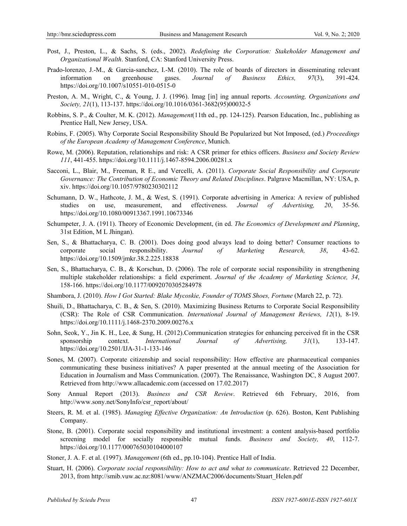- Post, J., Preston, L., & Sachs, S. (eds., 2002). *Redefining the Corporation: Stakeholder Management and Organizational Wealth*. Stanford, CA: Stanford University Press.
- Prado-lorenzo, J.-M., & Garcia-sanchez, I.-M. (2010). The role of boards of directors in disseminating relevant information on greenhouse gases. *Journal of Business Ethics, 97*(3), 391-424. https://doi.org/10.1007/s10551-010-0515-0
- Preston, A. M., Wright, C., & Young, J. J. (1996). Imag [in] ing annual reports. *Accounting, Organizations and Society, 21*(1), 113-137. https://doi.org/10.1016/0361-3682(95)00032-5
- Robbins, S. P., & Coulter, M. K. (2012). *Management*(11th ed., pp. 124-125). Pearson Education, Inc., publishing as Prentice Hall, New Jersey, USA.
- Robins, F. (2005). Why Corporate Social Responsibility Should Be Popularized but Not Imposed, (ed.) *Proceedings of the European Academy of Management Conference*, Munich.
- Rowe, M. (2006). Reputation, relationships and risk: A CSR primer for ethics officers. *Business and Society Review 111*, 441-455. https://doi.org/10.1111/j.1467-8594.2006.00281.x
- Sacconi, L., Blair, M., Freeman, R E., and Vercelli, A. (2011). *Corporate Social Responsibility and Corporate Governance: The Contribution of Economic Theory and Related Disciplines*. Palgrave Macmillan, NY: USA, p. xiv. https://doi.org/10.1057/9780230302112
- Schumann, D. W., Hathcote, J. M., & West, S. (1991). Corporate advertising in America: A review of published studies on use, measurement, and effectiveness. *Journal of Advertising, 20*, 35-56. https://doi.org/10.1080/00913367.1991.10673346
- Schumpeter, J. A. (1911). Theory of Economic Development, (in ed. *The Economics of Development and Planning*, 31st Edition, M L Jhingan).
- Sen, S., & Bhattacharya, C. B. (2001). Does doing good always lead to doing better? Consumer reactions to corporate social responsibility. *Journal of Marketing Research, 38*, 43-62. https://doi.org/10.1509/jmkr.38.2.225.18838
- Sen, S., Bhattacharya, C. B., & Korschun, D. (2006). The role of corporate social responsibility in strengthening multiple stakeholder relationships: a field experiment. *Journal of the Academy of Marketing Science, 34*, 158-166. https://doi.org/10.1177/0092070305284978
- Shambora, J. (2010). *How I Got Started: Blake Mycoskie, Founder of TOMS Shoes, Fortune* (March 22, p. 72).
- Shuili, D., Bhattacharya, C. B., & Sen, S. (2010). Maximizing Business Returns to Corporate Social Responsibility (CSR): The Role of CSR Communication. *International Journal of Management Reviews, 12*(1), 8-19. https://doi.org/10.1111/j.1468-2370.2009.00276.x
- Sohn, Seok, Y., Jin K. H., Lee, & Sung, H. (2012).Communication strategies for enhancing perceived fit in the CSR sponsorship context. *International Journal of Advertising, 31*(1), 133-147. https://doi.org/10.2501/IJA-31-1-133-146
- Sones, M. (2007). Corporate citizenship and social responsibility: How effective are pharmaceutical companies communicating these business initiatives? A paper presented at the annual meeting of the Association for Education in Journalism and Mass Communication. (2007). The Renaissance, Washington DC, 8 August 2007. Retrieved from http://www.allacademic.com (accessed on 17.02.2017)
- Sony Annual Report (2013). *Business and CSR Review*. Retrieved 6th February, 2016, from http://www.sony.net/SonyInfo/csr\_report/about/
- Steers, R. M. et al. (1985). *Managing Effective Organization: An Introduction* (p. 626). Boston, Kent Publishing Company.
- Stone, B. (2001). Corporate social responsibility and institutional investment: a content analysis-based portfolio screening model for socially responsible mutual funds. *Business and Society, 40*, 112-7. https://doi.org/10.1177/000765030104000107
- Stoner, J. A. F. et al. (1997). *Management* (6th ed., pp.10-104). Prentice Hall of India.
- Stuart, H. (2006). *Corporate social responsibility: How to act and what to communicate*. Retrieved 22 December, 2013, from http://smib.vuw.ac.nz:8081/www/ANZMAC2006/documents/Stuart\_Helen.pdf